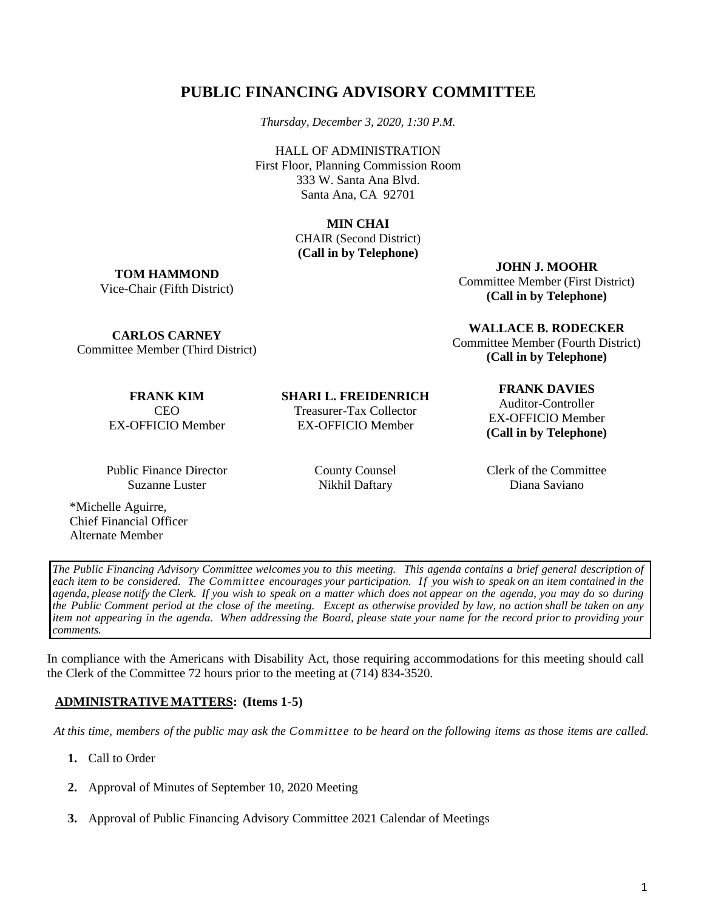# **PUBLIC FINANCING ADVISORY COMMITTEE**

*Thursday, December 3, 2020, 1:30 P.M.*

HALL OF ADMINISTRATION First Floor, Planning Commission Room 333 W. Santa Ana Blvd. Santa Ana, CA 92701

> **MIN CHAI** CHAIR (Second District) **(Call in by Telephone)**

**TOM HAMMOND** Vice-Chair (Fifth District) **JOHN J. MOOHR**

Committee Member (First District) **(Call in by Telephone)**

**WALLACE B. RODECKER** Committee Member (Fourth District) **(Call in by Telephone)**

**CARLOS CARNEY** Committee Member (Third District)

> **FRANK KIM** CEO EX-OFFICIO Member

Public Finance Director Suzanne Luster

\*Michelle Aguirre, Chief Financial Officer Alternate Member

**SHARI L. FREIDENRICH**

Treasurer-Tax Collector EX-OFFICIO Member

> County Counsel Nikhil Daftary

#### **FRANK DAVIES**

Auditor-Controller EX-OFFICIO Member **(Call in by Telephone)**

Clerk of the Committee Diana Saviano

*The Public Financing Advisory Committee welcomes you to this meeting. This agenda contains a brief general description of* each item to be considered. The Committee encourages your participation. If you wish to speak on an item contained in the agenda, please notify the Clerk. If you wish to speak on a matter which does not appear on the agenda, you may do so during the Public Comment period at the close of the meeting. Except as otherwise provided by law, no action shall be taken on any item not appearing in the agenda. When addressing the Board, please state your name for the record prior to providing your *comments.*

In compliance with the Americans with Disability Act, those requiring accommodations for this meeting should call the Clerk of the Committee 72 hours prior to the meeting at (714) 834-3520.

## **ADMINISTRATIVEMATTERS: (Items 1-5)**

At this time, members of the public may ask the Committee to be heard on the following items as those items are called.

- **1.** Call to Order
- **2.** Approval of Minutes of September 10, 2020 Meeting
- **3.** Approval of Public Financing Advisory Committee 2021 Calendar of Meetings